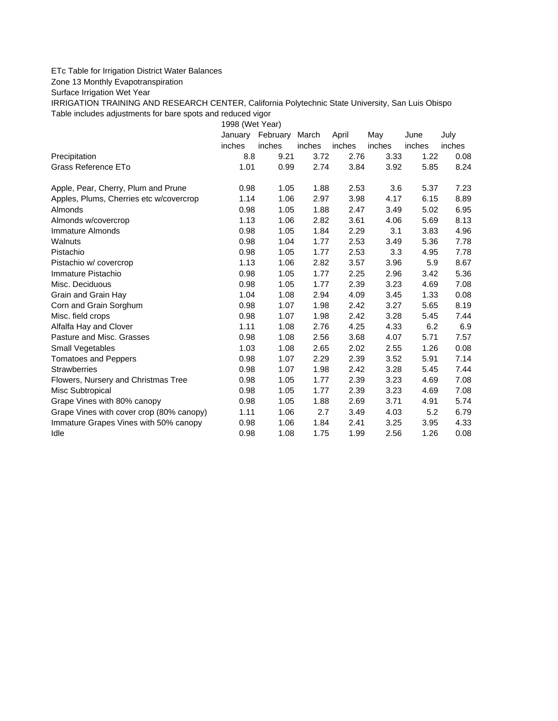## ETc Table for Irrigation District Water Balances

Zone 13 Monthly Evapotranspiration

Surface Irrigation Wet Year

IRRIGATION TRAINING AND RESEARCH CENTER, California Polytechnic State University, San Luis Obispo Table includes adjustments for bare spots and reduced vigor

1998 (Wet Year)

|                                          | January | February | March  | April  | May    | June   | July   |
|------------------------------------------|---------|----------|--------|--------|--------|--------|--------|
|                                          | inches  | inches   | inches | inches | inches | inches | inches |
| Precipitation                            | 8.8     | 9.21     | 3.72   | 2.76   | 3.33   | 1.22   | 0.08   |
| Grass Reference ETo                      | 1.01    | 0.99     | 2.74   | 3.84   | 3.92   | 5.85   | 8.24   |
| Apple, Pear, Cherry, Plum and Prune      | 0.98    | 1.05     | 1.88   | 2.53   | 3.6    | 5.37   | 7.23   |
| Apples, Plums, Cherries etc w/covercrop  | 1.14    | 1.06     | 2.97   | 3.98   | 4.17   | 6.15   | 8.89   |
| Almonds                                  | 0.98    | 1.05     | 1.88   | 2.47   | 3.49   | 5.02   | 6.95   |
| Almonds w/covercrop                      | 1.13    | 1.06     | 2.82   | 3.61   | 4.06   | 5.69   | 8.13   |
| Immature Almonds                         | 0.98    | 1.05     | 1.84   | 2.29   | 3.1    | 3.83   | 4.96   |
| Walnuts                                  | 0.98    | 1.04     | 1.77   | 2.53   | 3.49   | 5.36   | 7.78   |
| Pistachio                                | 0.98    | 1.05     | 1.77   | 2.53   | 3.3    | 4.95   | 7.78   |
| Pistachio w/ covercrop                   | 1.13    | 1.06     | 2.82   | 3.57   | 3.96   | 5.9    | 8.67   |
| Immature Pistachio                       | 0.98    | 1.05     | 1.77   | 2.25   | 2.96   | 3.42   | 5.36   |
| Misc. Deciduous                          | 0.98    | 1.05     | 1.77   | 2.39   | 3.23   | 4.69   | 7.08   |
| Grain and Grain Hay                      | 1.04    | 1.08     | 2.94   | 4.09   | 3.45   | 1.33   | 0.08   |
| Corn and Grain Sorghum                   | 0.98    | 1.07     | 1.98   | 2.42   | 3.27   | 5.65   | 8.19   |
| Misc. field crops                        | 0.98    | 1.07     | 1.98   | 2.42   | 3.28   | 5.45   | 7.44   |
| Alfalfa Hay and Clover                   | 1.11    | 1.08     | 2.76   | 4.25   | 4.33   | 6.2    | 6.9    |
| Pasture and Misc. Grasses                | 0.98    | 1.08     | 2.56   | 3.68   | 4.07   | 5.71   | 7.57   |
| Small Vegetables                         | 1.03    | 1.08     | 2.65   | 2.02   | 2.55   | 1.26   | 0.08   |
| <b>Tomatoes and Peppers</b>              | 0.98    | 1.07     | 2.29   | 2.39   | 3.52   | 5.91   | 7.14   |
| <b>Strawberries</b>                      | 0.98    | 1.07     | 1.98   | 2.42   | 3.28   | 5.45   | 7.44   |
| Flowers, Nursery and Christmas Tree      | 0.98    | 1.05     | 1.77   | 2.39   | 3.23   | 4.69   | 7.08   |
| Misc Subtropical                         | 0.98    | 1.05     | 1.77   | 2.39   | 3.23   | 4.69   | 7.08   |
| Grape Vines with 80% canopy              | 0.98    | 1.05     | 1.88   | 2.69   | 3.71   | 4.91   | 5.74   |
| Grape Vines with cover crop (80% canopy) | 1.11    | 1.06     | 2.7    | 3.49   | 4.03   | 5.2    | 6.79   |
| Immature Grapes Vines with 50% canopy    | 0.98    | 1.06     | 1.84   | 2.41   | 3.25   | 3.95   | 4.33   |
| Idle                                     | 0.98    | 1.08     | 1.75   | 1.99   | 2.56   | 1.26   | 0.08   |